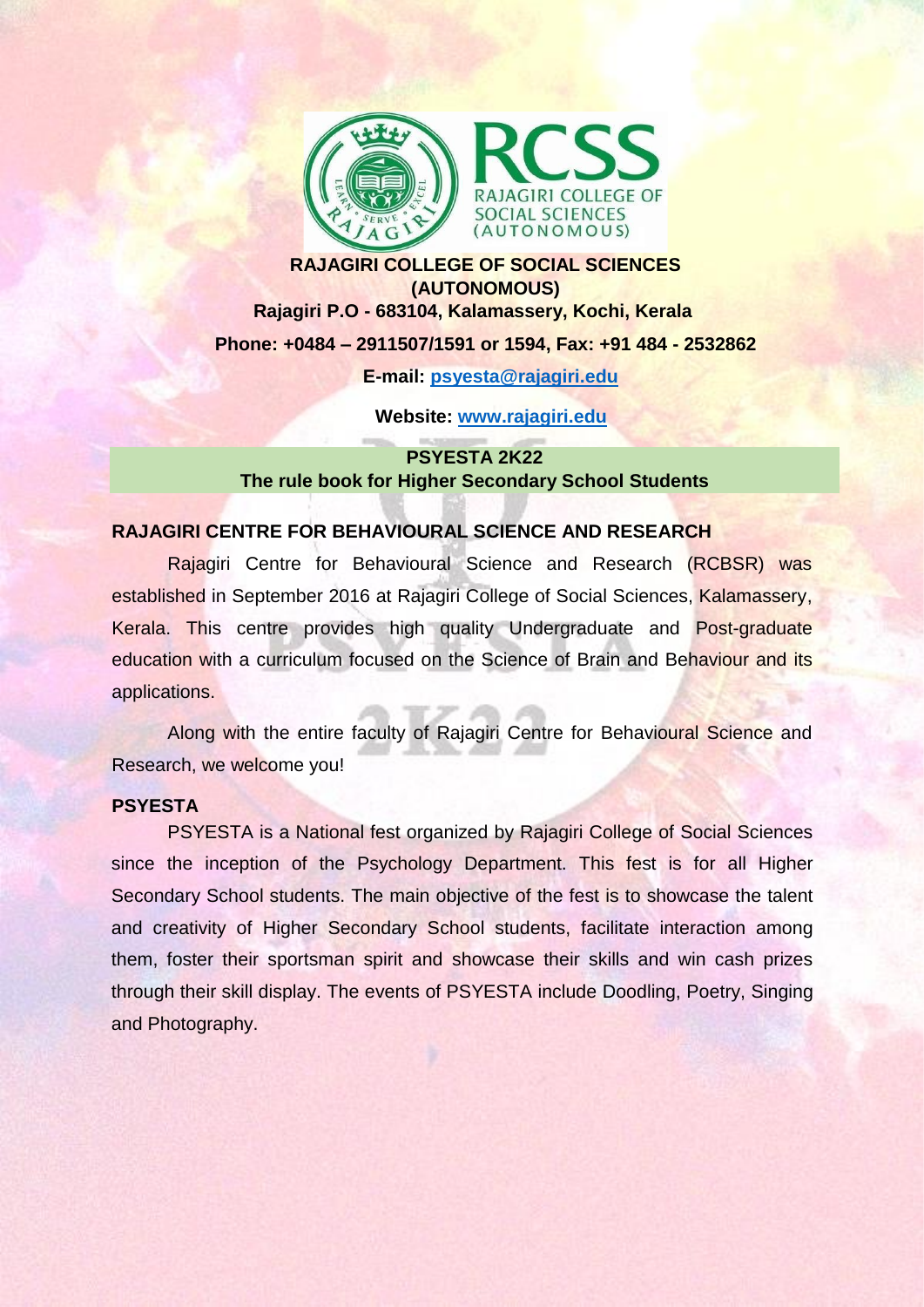

# **RAJAGIRI COLLEGE OF SOCIAL SCIENCES (AUTONOMOUS) Rajagiri P.O - 683104, Kalamassery, Kochi, Kerala Phone: +0484 – 2911507/1591 or 1594, Fax: +91 484 - 2532862 E-mail: [psyesta@rajagiri.edu](mailto:psyesta@rajagiri.edu)**

**Website: [www.rajagiri.edu](http://www.rajagiri.edu/)**

# **PSYESTA 2K22 The rule book for Higher Secondary School Students**

#### **RAJAGIRI CENTRE FOR BEHAVIOURAL SCIENCE AND RESEARCH**

Rajagiri Centre for Behavioural Science and Research (RCBSR) was established in September 2016 at Rajagiri College of Social Sciences, Kalamassery, Kerala. This centre provides high quality Undergraduate and Post-graduate education with a curriculum focused on the Science of Brain and Behaviour and its applications.

Along with the entire faculty of Rajagiri Centre for Behavioural Science and Research, we welcome you!

#### **PSYESTA**

PSYESTA is a National fest organized by Rajagiri College of Social Sciences since the inception of the Psychology Department. This fest is for all Higher Secondary School students. The main objective of the fest is to showcase the talent and creativity of Higher Secondary School students, facilitate interaction among them, foster their sportsman spirit and showcase their skills and win cash prizes through their skill display. The events of PSYESTA include Doodling, Poetry, Singing and Photography.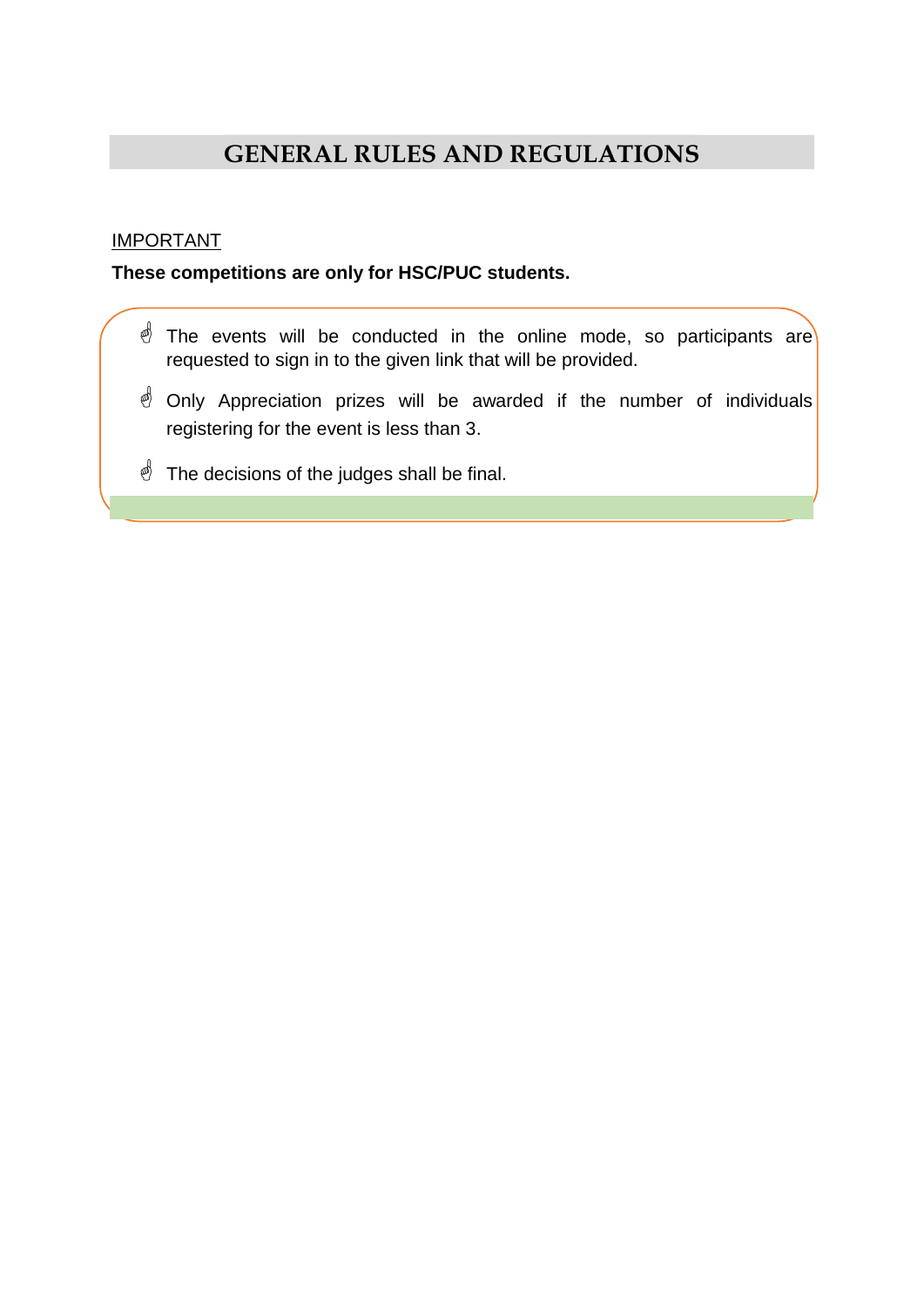# **GENERAL RULES AND REGULATIONS**

## IMPORTANT

## **These competitions are only for HSC/PUC students.**

- $\stackrel{\triangle}{\otimes}$  The events will be conducted in the online mode, so participants are requested to sign in to the given link that will be provided.
- $\triangleleft$  Only Appreciation prizes will be awarded if the number of individuals registering for the event is less than 3.
- $\stackrel{\triangle}{\sim}$  The decisions of the judges shall be final.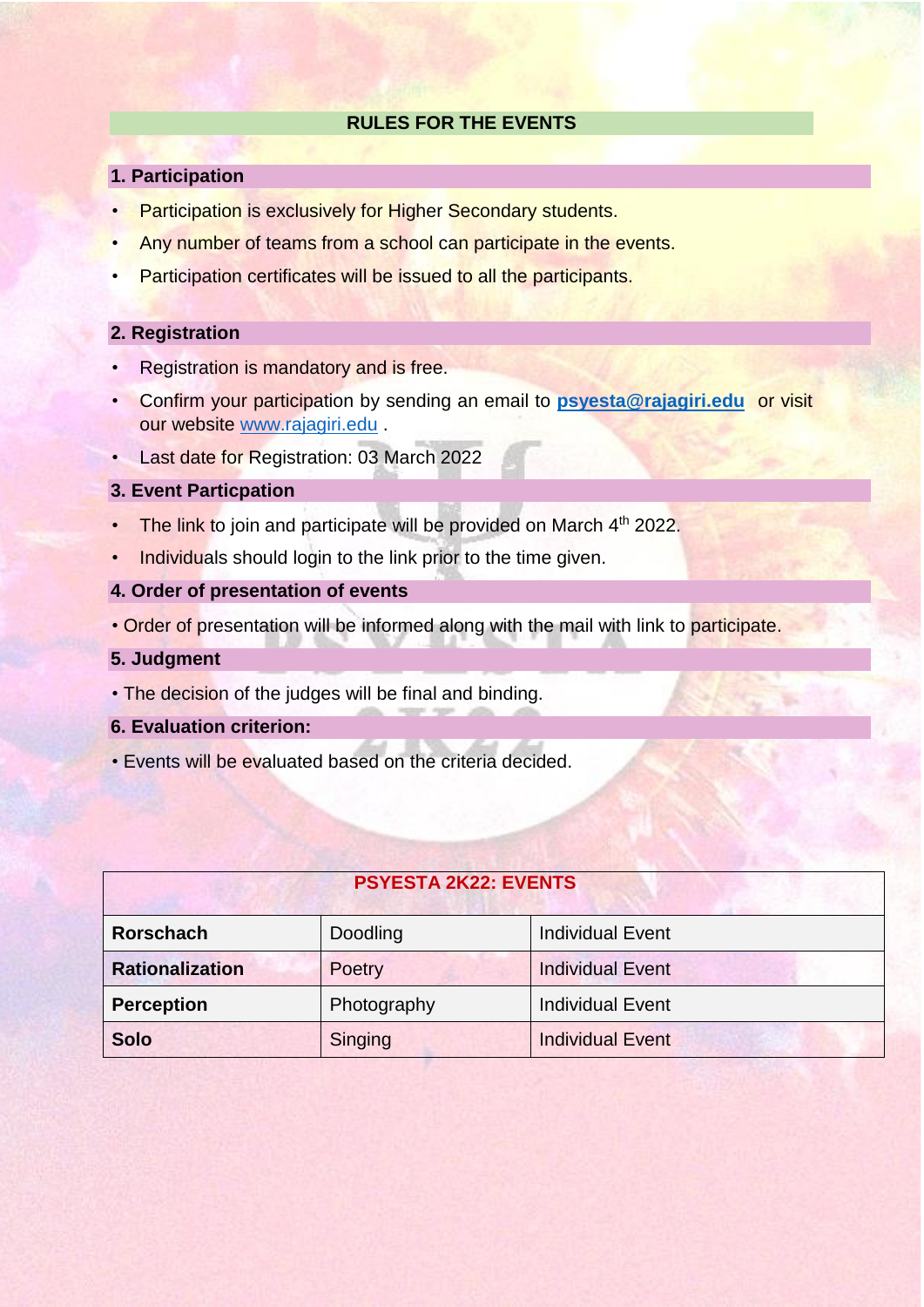#### **RULES FOR THE EVENTS**

#### **1. Participation**

- Participation is exclusively for Higher Secondary students.
- Any number of teams from a school can participate in the events.
- Participation certificates will be issued to all the participants.

#### **2. Registration**

- Registration is mandatory and is free.
- Confirm your participation by sending an email to **[psyesta@rajagiri.edu](mailto:psyesta@rajagiri.edu)** or visit our website [www.rajagiri.edu](http://www.rajagiri.edu/) .
- Last date for Registration: 03 March 2022

#### **3. Event Particpation**

- The link to join and participate will be provided on March 4<sup>th</sup> 2022.
- Individuals should login to the link prior to the time given.
- **4. Order of presentation of events**
- Order of presentation will be informed along with the mail with link to participate.
- **5. Judgment**
- The decision of the judges will be final and binding.
- **6. Evaluation criterion:**
- Events will be evaluated based on the criteria decided.

# **PSYESTA 2K22: EVENTS**

| <b>Rorschach</b>       | Doodling    | Individual Event        |
|------------------------|-------------|-------------------------|
| <b>Rationalization</b> | Poetry      | <b>Individual Event</b> |
| <b>Perception</b>      | Photography | <b>Individual Event</b> |
| <b>Solo</b>            | Singing     | <b>Individual Event</b> |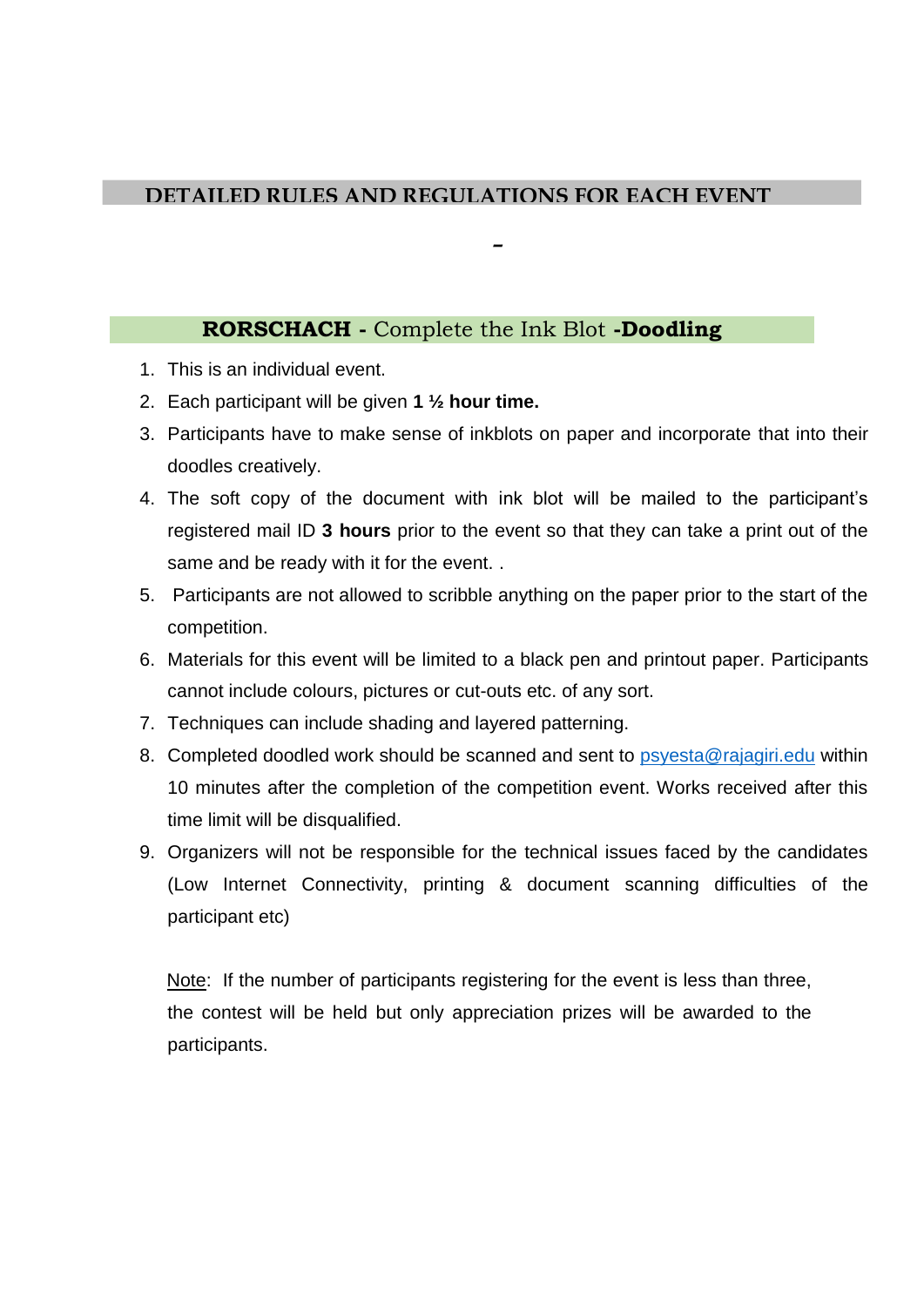# **DETAILED RULES AND REGULATIONS FOR EACH EVENT**

# **RORSCHACH -** Complete the Ink Blot **-Doodling**

- 1. This is an individual event.
- 2. Each participant will be given **1 ½ hour time.**
- 3. Participants have to make sense of inkblots on paper and incorporate that into their doodles creatively.

**–**

- 4. The soft copy of the document with ink blot will be mailed to the participant's registered mail ID **3 hours** prior to the event so that they can take a print out of the same and be ready with it for the event. .
- 5. Participants are not allowed to scribble anything on the paper prior to the start of the competition.
- 6. Materials for this event will be limited to a black pen and printout paper. Participants cannot include colours, pictures or cut-outs etc. of any sort.
- 7. Techniques can include shading and layered patterning.
- 8. Completed doodled work should be scanned and sent to [psyesta@rajagiri.edu](mailto:psyesta@rajagiri.edu) within 10 minutes after the completion of the competition event. Works received after this time limit will be disqualified.
- 9. Organizers will not be responsible for the technical issues faced by the candidates (Low Internet Connectivity, printing & document scanning difficulties of the participant etc)

Note: If the number of participants registering for the event is less than three, the contest will be held but only appreciation prizes will be awarded to the participants.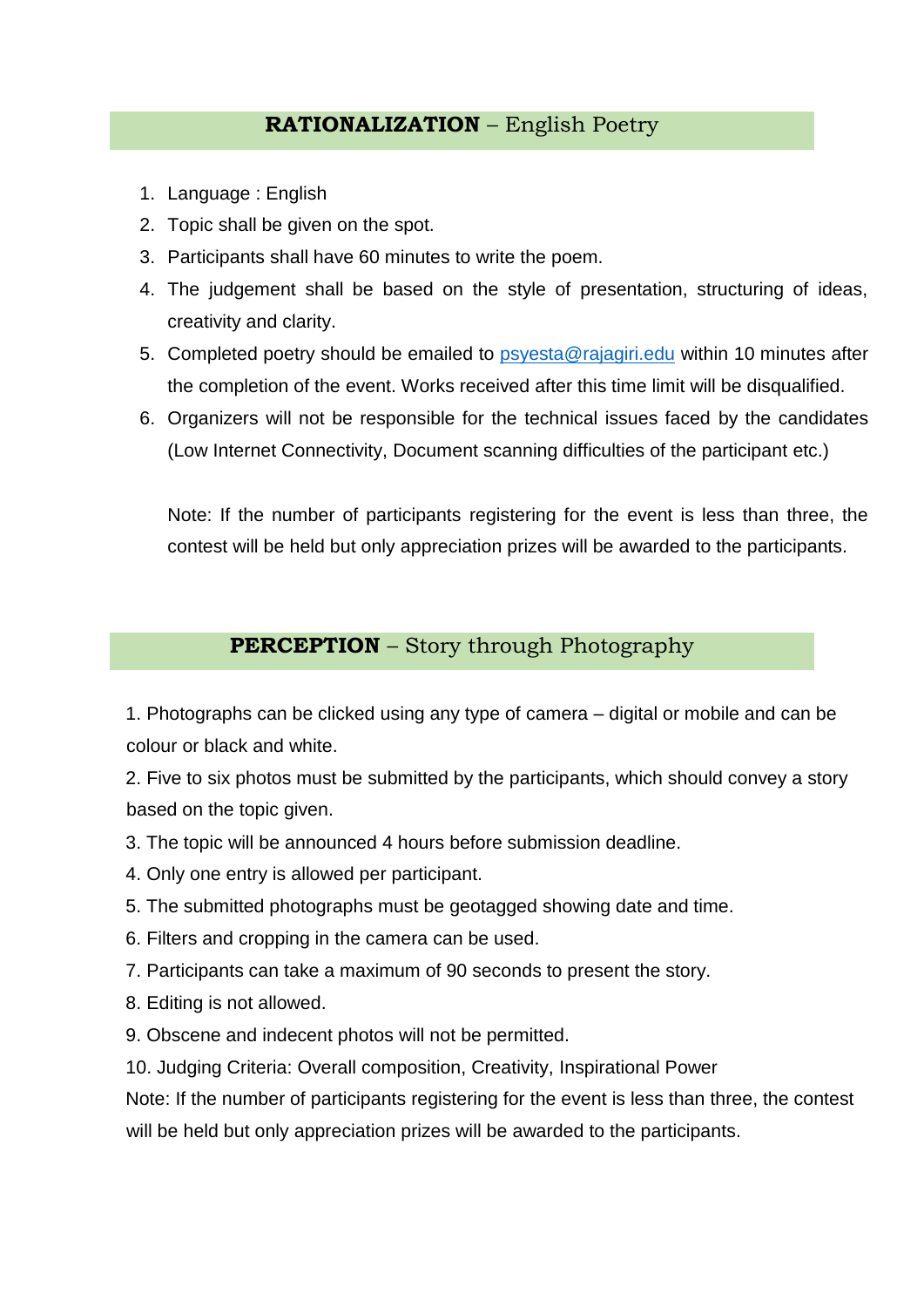# **RATIONALIZATION** – English Poetry

- 1. Language : English
- 2. Topic shall be given on the spot.
- 3. Participants shall have 60 minutes to write the poem.
- 4. The judgement shall be based on the style of presentation, structuring of ideas, creativity and clarity.
- 5. Completed poetry should be emailed to [psyesta@rajagiri.edu](mailto:psyesta@rajagiri.edu) within 10 minutes after the completion of the event. Works received after this time limit will be disqualified.
- 6. Organizers will not be responsible for the technical issues faced by the candidates (Low Internet Connectivity, Document scanning difficulties of the participant etc.)

Note: If the number of participants registering for the event is less than three, the contest will be held but only appreciation prizes will be awarded to the participants.

# **PERCEPTION** – Story through Photography

1. Photographs can be clicked using any type of camera – digital or mobile and can be colour or black and white.

2. Five to six photos must be submitted by the participants, which should convey a story based on the topic given.

- 3. The topic will be announced 4 hours before submission deadline.
- 4. Only one entry is allowed per participant.
- 5. The submitted photographs must be geotagged showing date and time.
- 6. Filters and cropping in the camera can be used.
- 7. Participants can take a maximum of 90 seconds to present the story.
- 8. Editing is not allowed.
- 9. Obscene and indecent photos will not be permitted.
- 10. Judging Criteria: Overall composition, Creativity, Inspirational Power

Note: If the number of participants registering for the event is less than three, the contest will be held but only appreciation prizes will be awarded to the participants.